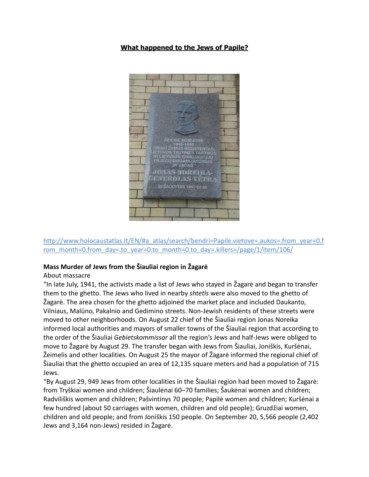## **What happened to the Jews of Papile?**



[http://www.holocaustatlas.lt/EN/#a\\_atlas/search/bendri=Papile.vietove=.aukos=.from\\_year=0.f](http://www.holocaustatlas.lt/EN/) [rom\\_month=0.from\\_day=.to\\_year=0.to\\_month=0.to\\_day=.killers=/page/1/item/106/](http://www.holocaustatlas.lt/EN/)

## **Mass Murder of Jews from the Šiauliai region in Žagarė**

## About massacre

"In late July, 1941, the activists made a list of Jews who stayed in Žagarė and began to transfer them to the ghetto. The Jews who lived in nearby *shtetls* were also moved to the ghetto of Žagarė. The area chosen for the ghetto adjoined the market place and included Daukanto, Vilniaus, Malūno, Pakalnio and Gedimino streets. Non-Jewish residents of these streets were moved to other neighborhoods. On August 22 chief of the Šiauliai region Jonas Noreika informed local authorities and mayors of smaller towns of the Šiauliai region that according to the order of the Šiauliai *Gebietskommissar* all the region's Jews and half-Jews were obliged to move to Žagarė by August 29. The transfer began with Jews from Šiauliai, Joniškis, Kuršėnai, Žeimelis and other localities. On August 25 the mayor of Žagarė informed the regional chief of Šiauliai that the ghetto occupied an area of 12,135 square meters and had a population of 715 Jews.

"By August 29, 949 Jews from other localities in the Šiauliai region had been moved to Žagarė: from Tryškiai women and children; Šiaulėnai 60–70 families; Šaukėnai women and children; Radviliškis women and children; Pašvintinys 70 people; Papilė women and children; Kuršėnai a few hundred (about 50 carriages with women, children and old people); Gruzdžiai women, children and old people; and from Joniškis 150 people. On September 20, 5,566 people (2,402 Jews and 3,164 non-Jews) resided in Žagarė.